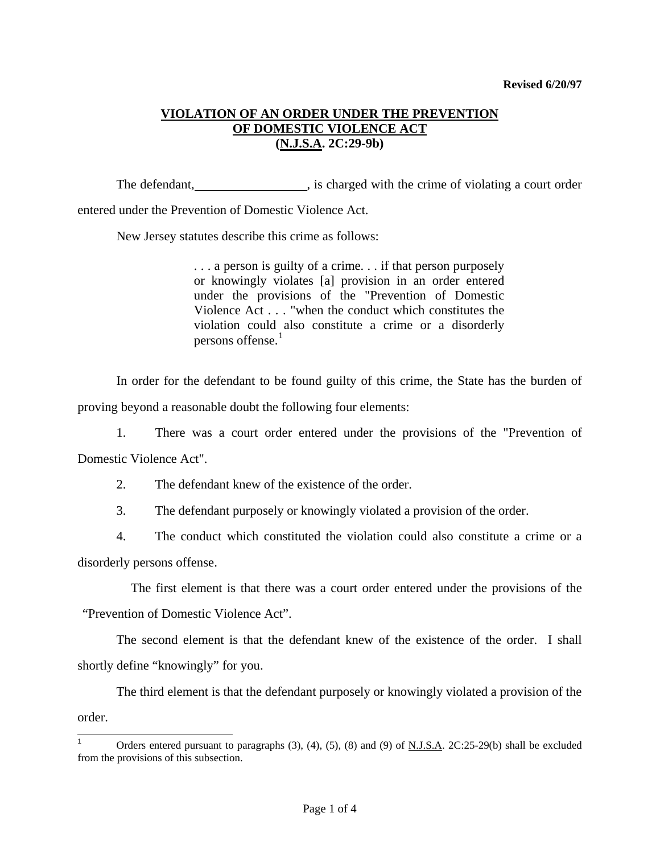## **VIOLATION OF AN ORDER UNDER THE PREVENTION OF DOMESTIC VIOLENCE ACT (N.J.S.A. 2C:29-9b)**

The defendant,  $\qquad \qquad$ , is charged with the crime of violating a court order

entered under the Prevention of Domestic Violence Act.

New Jersey statutes describe this crime as follows:

. . . a person is guilty of a crime. . . if that person purposely or knowingly violates [a] provision in an order entered under the provisions of the "Prevention of Domestic Violence Act . . . "when the conduct which constitutes the violation could also constitute a crime or a disorderly persons offense.<sup>[1](#page-0-0)</sup>

 In order for the defendant to be found guilty of this crime, the State has the burden of proving beyond a reasonable doubt the following four elements:

 1. There was a court order entered under the provisions of the "Prevention of Domestic Violence Act".

2. The defendant knew of the existence of the order.

3. The defendant purposely or knowingly violated a provision of the order.

 4. The conduct which constituted the violation could also constitute a crime or a disorderly persons offense.

 The first element is that there was a court order entered under the provisions of the "Prevention of Domestic Violence Act".

 The second element is that the defendant knew of the existence of the order. I shall shortly define "knowingly" for you.

 The third element is that the defendant purposely or knowingly violated a provision of the order.

<span id="page-0-1"></span><span id="page-0-0"></span><sup>|&</sup>lt;br>1 Orders entered pursuant to paragraphs (3), (4), (5), (8) and (9) of N.J.S.A. 2C:25-29(b) shall be excluded from the provisions of this subsection.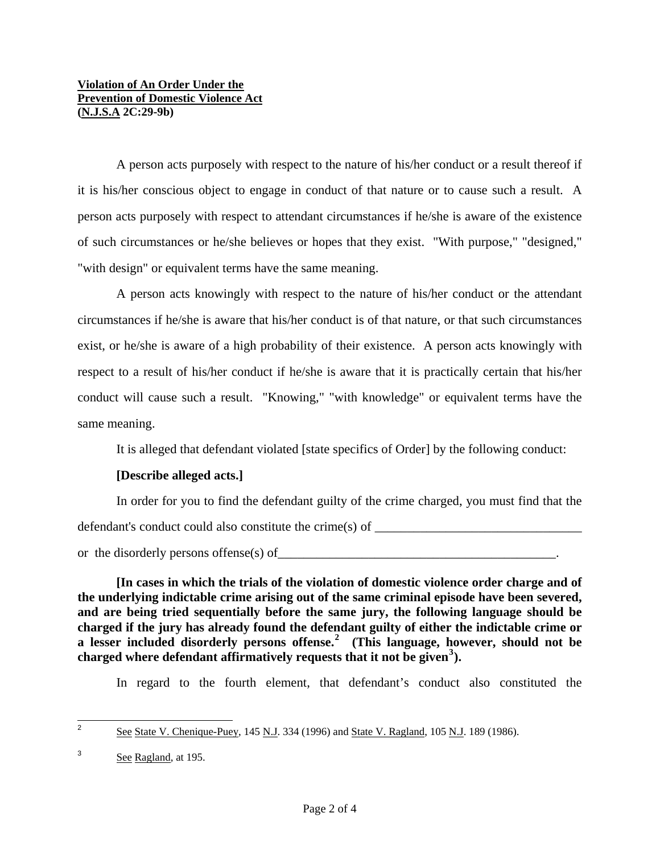## **Violation of An Order Under the Prevention of Domestic Violence Act (N.J.S.A 2C:29-9b)**

 A person acts purposely with respect to the nature of his/her conduct or a result thereof if it is his/her conscious object to engage in conduct of that nature or to cause such a result. A person acts purposely with respect to attendant circumstances if he/she is aware of the existence of such circumstances or he/she believes or hopes that they exist. "With purpose," "designed," "with design" or equivalent terms have the same meaning.

 A person acts knowingly with respect to the nature of his/her conduct or the attendant circumstances if he/she is aware that his/her conduct is of that nature, or that such circumstances exist, or he/she is aware of a high probability of their existence. A person acts knowingly with respect to a result of his/her conduct if he/she is aware that it is practically certain that his/her conduct will cause such a result. "Knowing," "with knowledge" or equivalent terms have the same meaning.

It is alleged that defendant violated [state specifics of Order] by the following conduct:

## **[Describe alleged acts.]**

 In order for you to find the defendant guilty of the crime charged, you must find that the defendant's conduct could also constitute the crime(s) of  $\Box$ or the disorderly persons offense(s) of\_\_\_\_\_\_\_\_\_\_\_\_\_\_\_\_\_\_\_\_\_\_\_\_\_\_\_\_\_\_\_\_\_\_\_\_\_\_\_\_\_\_\_.

**[In cases in which the trials of the violation of domestic violence order charge and of the underlying indictable crime arising out of the same criminal episode have been severed, and are being tried sequentially before the same jury, the following language should be charged if the jury has already found the defendant guilty of either the indictable crime or a lesser included disorderly persons offense.[2](#page-0-1) (This language, however, should not be charged where defendant affirmatively requests that it not be given[3](#page-1-0) ).** 

In regard to the fourth element, that defendant's conduct also constituted the

<span id="page-1-1"></span><sup>-&</sup>lt;br>2 See State V. Chenique-Puey, 145 N.J. 334 (1996) and State V. Ragland, 105 N.J. 189 (1986).

<span id="page-1-0"></span><sup>3</sup> See Ragland, at 195.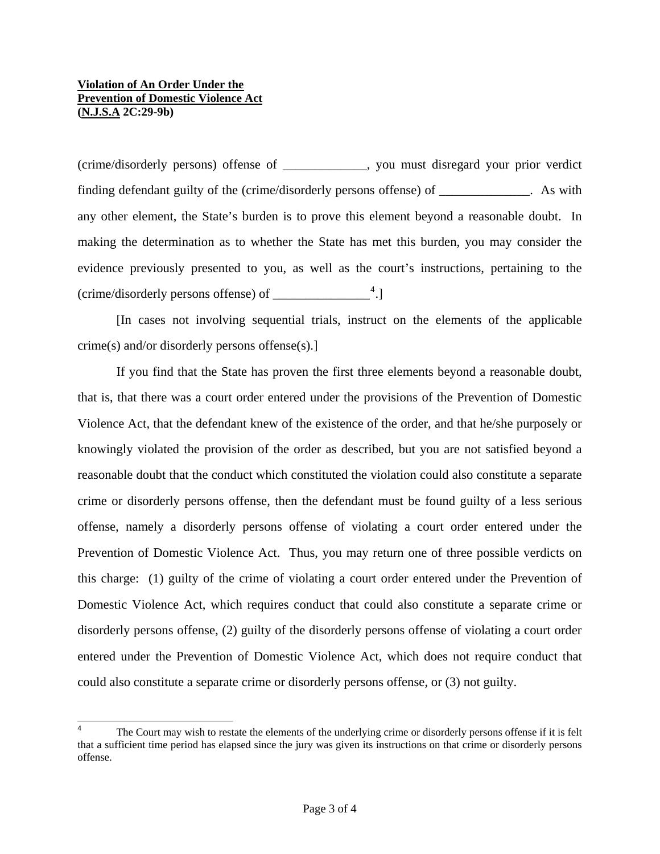l

(crime/disorderly persons) offense of \_\_\_\_\_\_\_\_\_\_\_\_\_, you must disregard your prior verdict finding defendant guilty of the (crime/disorderly persons offense) of \_\_\_\_\_\_\_\_\_\_\_. As with any other element, the State's burden is to prove this element beyond a reasonable doubt. In making the determination as to whether the State has met this burden, you may consider the evidence previously presented to you, as well as the court's instructions, pertaining to the (crime/disorderly persons offense) of \_\_\_\_\_\_\_\_\_\_\_\_\_\_\_[4](#page-1-1) .]

 [In cases not involving sequential trials, instruct on the elements of the applicable crime(s) and/or disorderly persons offense(s).]

 If you find that the State has proven the first three elements beyond a reasonable doubt, that is, that there was a court order entered under the provisions of the Prevention of Domestic Violence Act, that the defendant knew of the existence of the order, and that he/she purposely or knowingly violated the provision of the order as described, but you are not satisfied beyond a reasonable doubt that the conduct which constituted the violation could also constitute a separate crime or disorderly persons offense, then the defendant must be found guilty of a less serious offense, namely a disorderly persons offense of violating a court order entered under the Prevention of Domestic Violence Act. Thus, you may return one of three possible verdicts on this charge: (1) guilty of the crime of violating a court order entered under the Prevention of Domestic Violence Act, which requires conduct that could also constitute a separate crime or disorderly persons offense, (2) guilty of the disorderly persons offense of violating a court order entered under the Prevention of Domestic Violence Act, which does not require conduct that could also constitute a separate crime or disorderly persons offense, or (3) not guilty.

<sup>4</sup> The Court may wish to restate the elements of the underlying crime or disorderly persons offense if it is felt that a sufficient time period has elapsed since the jury was given its instructions on that crime or disorderly persons offense.